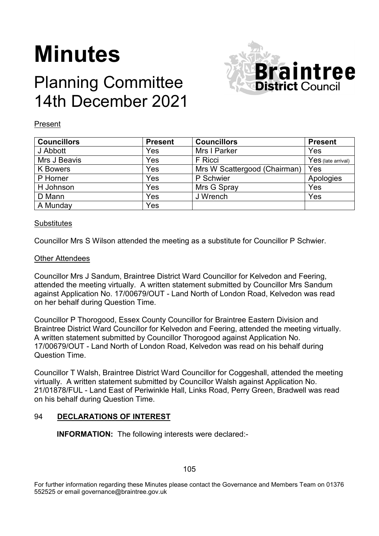# **Minutes**

# Planning Committee 14th December 2021



#### Present

| <b>Councillors</b> | <b>Present</b> | <b>Councillors</b>           | <b>Present</b>     |
|--------------------|----------------|------------------------------|--------------------|
| J Abbott           | Yes            | Mrs I Parker                 | Yes                |
| Mrs J Beavis       | Yes            | F Ricci                      | Yes (late arrival) |
| <b>K</b> Bowers    | Yes            | Mrs W Scattergood (Chairman) | Yes                |
| P Horner           | Yes            | P Schwier                    | Apologies          |
| H Johnson          | Yes            | Mrs G Spray                  | Yes                |
| D Mann             | Yes            | J Wrench                     | Yes                |
| A Munday           | Yes            |                              |                    |

#### **Substitutes**

Councillor Mrs S Wilson attended the meeting as a substitute for Councillor P Schwier.

#### Other Attendees

Councillor Mrs J Sandum, Braintree District Ward Councillor for Kelvedon and Feering, attended the meeting virtually. A written statement submitted by Councillor Mrs Sandum against Application No. 17/00679/OUT - Land North of London Road, Kelvedon was read on her behalf during Question Time.

Councillor P Thorogood, Essex County Councillor for Braintree Eastern Division and Braintree District Ward Councillor for Kelvedon and Feering, attended the meeting virtually. A written statement submitted by Councillor Thorogood against Application No. 17/00679/OUT - Land North of London Road, Kelvedon was read on his behalf during Question Time.

Councillor T Walsh, Braintree District Ward Councillor for Coggeshall, attended the meeting virtually. A written statement submitted by Councillor Walsh against Application No. 21/01878/FUL - Land East of Periwinkle Hall, Links Road, Perry Green, Bradwell was read on his behalf during Question Time.

# 94 **DECLARATIONS OF INTEREST**

**INFORMATION:** The following interests were declared:-

For further information regarding these Minutes please contact the Governance and Members Team on 01376 552525 or email governance@braintree.gov.uk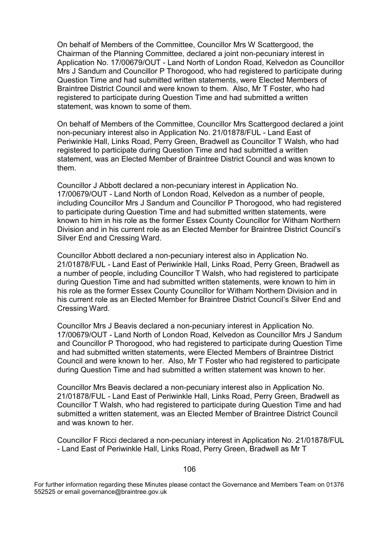On behalf of Members of the Committee, Councillor Mrs W Scattergood, the Chairman of the Planning Committee, declared a joint non-pecuniary interest in Application No. 17/00679/OUT - Land North of London Road, Kelvedon as Councillor Mrs J Sandum and Councillor P Thorogood, who had registered to participate during Question Time and had submitted written statements, were Elected Members of Braintree District Council and were known to them. Also, Mr T Foster, who had registered to participate during Question Time and had submitted a written statement, was known to some of them.

On behalf of Members of the Committee, Councillor Mrs Scattergood declared a joint non-pecuniary interest also in Application No. 21/01878/FUL - Land East of Periwinkle Hall, Links Road, Perry Green, Bradwell as Councillor T Walsh, who had registered to participate during Question Time and had submitted a written statement, was an Elected Member of Braintree District Council and was known to them.

Councillor J Abbott declared a non-pecuniary interest in Application No. 17/00679/OUT - Land North of London Road, Kelvedon as a number of people, including Councillor Mrs J Sandum and Councillor P Thorogood, who had registered to participate during Question Time and had submitted written statements, were known to him in his role as the former Essex County Councillor for Witham Northern Division and in his current role as an Elected Member for Braintree District Council's Silver End and Cressing Ward.

Councillor Abbott declared a non-pecuniary interest also in Application No. 21/01878/FUL - Land East of Periwinkle Hall, Links Road, Perry Green, Bradwell as a number of people, including Councillor T Walsh, who had registered to participate during Question Time and had submitted written statements, were known to him in his role as the former Essex County Councillor for Witham Northern Division and in his current role as an Elected Member for Braintree District Council's Silver End and Cressing Ward.

Councillor Mrs J Beavis declared a non-pecuniary interest in Application No. 17/00679/OUT - Land North of London Road, Kelvedon as Councillor Mrs J Sandum and Councillor P Thorogood, who had registered to participate during Question Time and had submitted written statements, were Elected Members of Braintree District Council and were known to her. Also, Mr T Foster who had registered to participate during Question Time and had submitted a written statement was known to her.

Councillor Mrs Beavis declared a non-pecuniary interest also in Application No. 21/01878/FUL - Land East of Periwinkle Hall, Links Road, Perry Green, Bradwell as Councillor T Walsh, who had registered to participate during Question Time and had submitted a written statement, was an Elected Member of Braintree District Council and was known to her.

Councillor F Ricci declared a non-pecuniary interest in Application No. 21/01878/FUL - Land East of Periwinkle Hall, Links Road, Perry Green, Bradwell as Mr T

For further information regarding these Minutes please contact the Governance and Members Team on 01376 552525 or email governance@braintree.gov.uk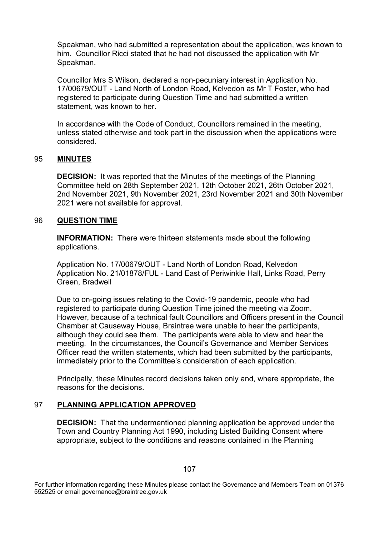Speakman, who had submitted a representation about the application, was known to him. Councillor Ricci stated that he had not discussed the application with Mr Speakman.

Councillor Mrs S Wilson, declared a non-pecuniary interest in Application No. 17/00679/OUT - Land North of London Road, Kelvedon as Mr T Foster, who had registered to participate during Question Time and had submitted a written statement, was known to her.

In accordance with the Code of Conduct, Councillors remained in the meeting, unless stated otherwise and took part in the discussion when the applications were considered.

#### 95 **MINUTES**

**DECISION:** It was reported that the Minutes of the meetings of the Planning Committee held on 28th September 2021, 12th October 2021, 26th October 2021, 2nd November 2021, 9th November 2021, 23rd November 2021 and 30th November 2021 were not available for approval.

#### 96 **QUESTION TIME**

**INFORMATION:** There were thirteen statements made about the following applications.

Application No. 17/00679/OUT - Land North of London Road, Kelvedon Application No. 21/01878/FUL - Land East of Periwinkle Hall, Links Road, Perry Green, Bradwell

Due to on-going issues relating to the Covid-19 pandemic, people who had registered to participate during Question Time joined the meeting via Zoom. However, because of a technical fault Councillors and Officers present in the Council Chamber at Causeway House, Braintree were unable to hear the participants, although they could see them. The participants were able to view and hear the meeting. In the circumstances, the Council's Governance and Member Services Officer read the written statements, which had been submitted by the participants, immediately prior to the Committee's consideration of each application.

Principally, these Minutes record decisions taken only and, where appropriate, the reasons for the decisions.

# 97 **PLANNING APPLICATION APPROVED**

**DECISION:** That the undermentioned planning application be approved under the Town and Country Planning Act 1990, including Listed Building Consent where appropriate, subject to the conditions and reasons contained in the Planning

For further information regarding these Minutes please contact the Governance and Members Team on 01376 552525 or email governance@braintree.gov.uk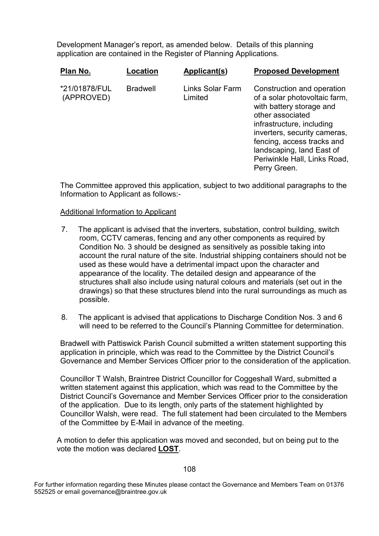Development Manager's report, as amended below. Details of this planning application are contained in the Register of Planning Applications.

| Plan No.                    | Location        | Applicant(s)                | <b>Proposed Development</b>                                                                                                                                                                                                                                                         |
|-----------------------------|-----------------|-----------------------------|-------------------------------------------------------------------------------------------------------------------------------------------------------------------------------------------------------------------------------------------------------------------------------------|
| *21/01878/FUL<br>(APPROVED) | <b>Bradwell</b> | Links Solar Farm<br>Limited | Construction and operation<br>of a solar photovoltaic farm,<br>with battery storage and<br>other associated<br>infrastructure, including<br>inverters, security cameras,<br>fencing, access tracks and<br>landscaping, land East of<br>Periwinkle Hall, Links Road,<br>Perry Green. |
|                             |                 |                             |                                                                                                                                                                                                                                                                                     |

The Committee approved this application, subject to two additional paragraphs to the Information to Applicant as follows:-

# Additional Information to Applicant

- 7. The applicant is advised that the inverters, substation, control building, switch room, CCTV cameras, fencing and any other components as required by Condition No. 3 should be designed as sensitively as possible taking into account the rural nature of the site. Industrial shipping containers should not be used as these would have a detrimental impact upon the character and appearance of the locality. The detailed design and appearance of the structures shall also include using natural colours and materials (set out in the drawings) so that these structures blend into the rural surroundings as much as possible.
- 8. The applicant is advised that applications to Discharge Condition Nos. 3 and 6 will need to be referred to the Council's Planning Committee for determination.

Bradwell with Pattiswick Parish Council submitted a written statement supporting this application in principle, which was read to the Committee by the District Council's Governance and Member Services Officer prior to the consideration of the application.

Councillor T Walsh, Braintree District Councillor for Coggeshall Ward, submitted a written statement against this application, which was read to the Committee by the District Council's Governance and Member Services Officer prior to the consideration of the application. Due to its length, only parts of the statement highlighted by Councillor Walsh, were read. The full statement had been circulated to the Members of the Committee by E-Mail in advance of the meeting.

A motion to defer this application was moved and seconded, but on being put to the vote the motion was declared **LOST**.

For further information regarding these Minutes please contact the Governance and Members Team on 01376 552525 or email governance@braintree.gov.uk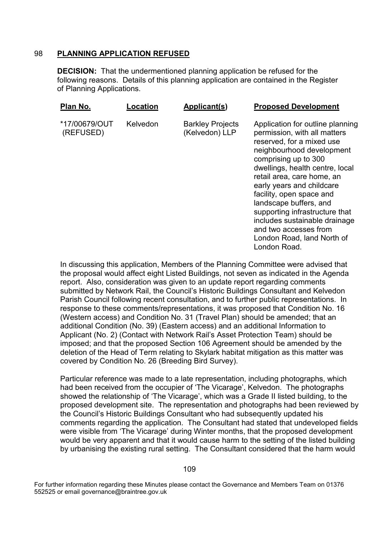# 98 **PLANNING APPLICATION REFUSED**

**DECISION:** That the undermentioned planning application be refused for the following reasons. Details of this planning application are contained in the Register of Planning Applications.

| Plan No.<br>Applicant(s)<br>Location                                                | <b>Proposed Development</b>                                                                                                                                                                                                                                                                                                                                                                                                                      |
|-------------------------------------------------------------------------------------|--------------------------------------------------------------------------------------------------------------------------------------------------------------------------------------------------------------------------------------------------------------------------------------------------------------------------------------------------------------------------------------------------------------------------------------------------|
| *17/00679/OUT<br>Kelvedon<br><b>Barkley Projects</b><br>(Kelvedon) LLP<br>(REFUSED) | Application for outline planning<br>permission, with all matters<br>reserved, for a mixed use<br>neighbourhood development<br>comprising up to 300<br>dwellings, health centre, local<br>retail area, care home, an<br>early years and childcare<br>facility, open space and<br>landscape buffers, and<br>supporting infrastructure that<br>includes sustainable drainage<br>and two accesses from<br>London Road, land North of<br>London Road. |

In discussing this application, Members of the Planning Committee were advised that the proposal would affect eight Listed Buildings, not seven as indicated in the Agenda report. Also, consideration was given to an update report regarding comments submitted by Network Rail, the Council's Historic Buildings Consultant and Kelvedon Parish Council following recent consultation, and to further public representations. In response to these comments/representations, it was proposed that Condition No. 16 (Western access) and Condition No. 31 (Travel Plan) should be amended; that an additional Condition (No. 39) (Eastern access) and an additional Information to Applicant (No. 2) (Contact with Network Rail's Asset Protection Team) should be imposed; and that the proposed Section 106 Agreement should be amended by the deletion of the Head of Term relating to Skylark habitat mitigation as this matter was covered by Condition No. 26 (Breeding Bird Survey).

Particular reference was made to a late representation, including photographs, which had been received from the occupier of 'The Vicarage', Kelvedon. The photographs showed the relationship of 'The Vicarage', which was a Grade II listed building, to the proposed development site. The representation and photographs had been reviewed by the Council's Historic Buildings Consultant who had subsequently updated his comments regarding the application. The Consultant had stated that undeveloped fields were visible from 'The Vicarage' during Winter months, that the proposed development would be very apparent and that it would cause harm to the setting of the listed building by urbanising the existing rural setting. The Consultant considered that the harm would

For further information regarding these Minutes please contact the Governance and Members Team on 01376 552525 or email governance@braintree.gov.uk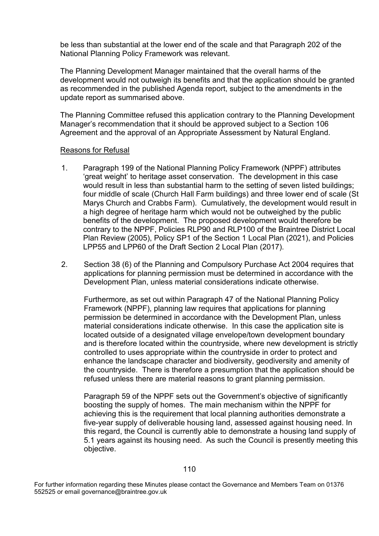be less than substantial at the lower end of the scale and that Paragraph 202 of the National Planning Policy Framework was relevant.

The Planning Development Manager maintained that the overall harms of the development would not outweigh its benefits and that the application should be granted as recommended in the published Agenda report, subject to the amendments in the update report as summarised above.

The Planning Committee refused this application contrary to the Planning Development Manager's recommendation that it should be approved subject to a Section 106 Agreement and the approval of an Appropriate Assessment by Natural England.

#### Reasons for Refusal

- 1. Paragraph 199 of the National Planning Policy Framework (NPPF) attributes 'great weight' to heritage asset conservation. The development in this case would result in less than substantial harm to the setting of seven listed buildings; four middle of scale (Church Hall Farm buildings) and three lower end of scale (St Marys Church and Crabbs Farm). Cumulatively, the development would result in a high degree of heritage harm which would not be outweighed by the public benefits of the development. The proposed development would therefore be contrary to the NPPF, Policies RLP90 and RLP100 of the Braintree District Local Plan Review (2005), Policy SP1 of the Section 1 Local Plan (2021), and Policies LPP55 and LPP60 of the Draft Section 2 Local Plan (2017).
- 2. Section 38 (6) of the Planning and Compulsory Purchase Act 2004 requires that applications for planning permission must be determined in accordance with the Development Plan, unless material considerations indicate otherwise.

Furthermore, as set out within Paragraph 47 of the National Planning Policy Framework (NPPF), planning law requires that applications for planning permission be determined in accordance with the Development Plan, unless material considerations indicate otherwise. In this case the application site is located outside of a designated village envelope/town development boundary and is therefore located within the countryside, where new development is strictly controlled to uses appropriate within the countryside in order to protect and enhance the landscape character and biodiversity, geodiversity and amenity of the countryside. There is therefore a presumption that the application should be refused unless there are material reasons to grant planning permission.

Paragraph 59 of the NPPF sets out the Government's objective of significantly boosting the supply of homes. The main mechanism within the NPPF for achieving this is the requirement that local planning authorities demonstrate a five-year supply of deliverable housing land, assessed against housing need. In this regard, the Council is currently able to demonstrate a housing land supply of 5.1 years against its housing need. As such the Council is presently meeting this objective.

For further information regarding these Minutes please contact the Governance and Members Team on 01376 552525 or email governance@braintree.gov.uk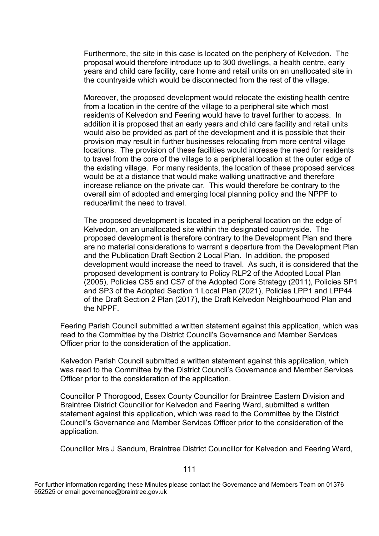Furthermore, the site in this case is located on the periphery of Kelvedon. The proposal would therefore introduce up to 300 dwellings, a health centre, early years and child care facility, care home and retail units on an unallocated site in the countryside which would be disconnected from the rest of the village.

Moreover, the proposed development would relocate the existing health centre from a location in the centre of the village to a peripheral site which most residents of Kelvedon and Feering would have to travel further to access. In addition it is proposed that an early years and child care facility and retail units would also be provided as part of the development and it is possible that their provision may result in further businesses relocating from more central village locations. The provision of these facilities would increase the need for residents to travel from the core of the village to a peripheral location at the outer edge of the existing village. For many residents, the location of these proposed services would be at a distance that would make walking unattractive and therefore increase reliance on the private car. This would therefore be contrary to the overall aim of adopted and emerging local planning policy and the NPPF to reduce/limit the need to travel.

The proposed development is located in a peripheral location on the edge of Kelvedon, on an unallocated site within the designated countryside. The proposed development is therefore contrary to the Development Plan and there are no material considerations to warrant a departure from the Development Plan and the Publication Draft Section 2 Local Plan. In addition, the proposed development would increase the need to travel. As such, it is considered that the proposed development is contrary to Policy RLP2 of the Adopted Local Plan (2005), Policies CS5 and CS7 of the Adopted Core Strategy (2011), Policies SP1 and SP3 of the Adopted Section 1 Local Plan (2021), Policies LPP1 and LPP44 of the Draft Section 2 Plan (2017), the Draft Kelvedon Neighbourhood Plan and the NPPF.

Feering Parish Council submitted a written statement against this application, which was read to the Committee by the District Council's Governance and Member Services Officer prior to the consideration of the application.

Kelvedon Parish Council submitted a written statement against this application, which was read to the Committee by the District Council's Governance and Member Services Officer prior to the consideration of the application.

Councillor P Thorogood, Essex County Councillor for Braintree Eastern Division and Braintree District Councillor for Kelvedon and Feering Ward, submitted a written statement against this application, which was read to the Committee by the District Council's Governance and Member Services Officer prior to the consideration of the application.

Councillor Mrs J Sandum, Braintree District Councillor for Kelvedon and Feering Ward,

For further information regarding these Minutes please contact the Governance and Members Team on 01376 552525 or email governance@braintree.gov.uk